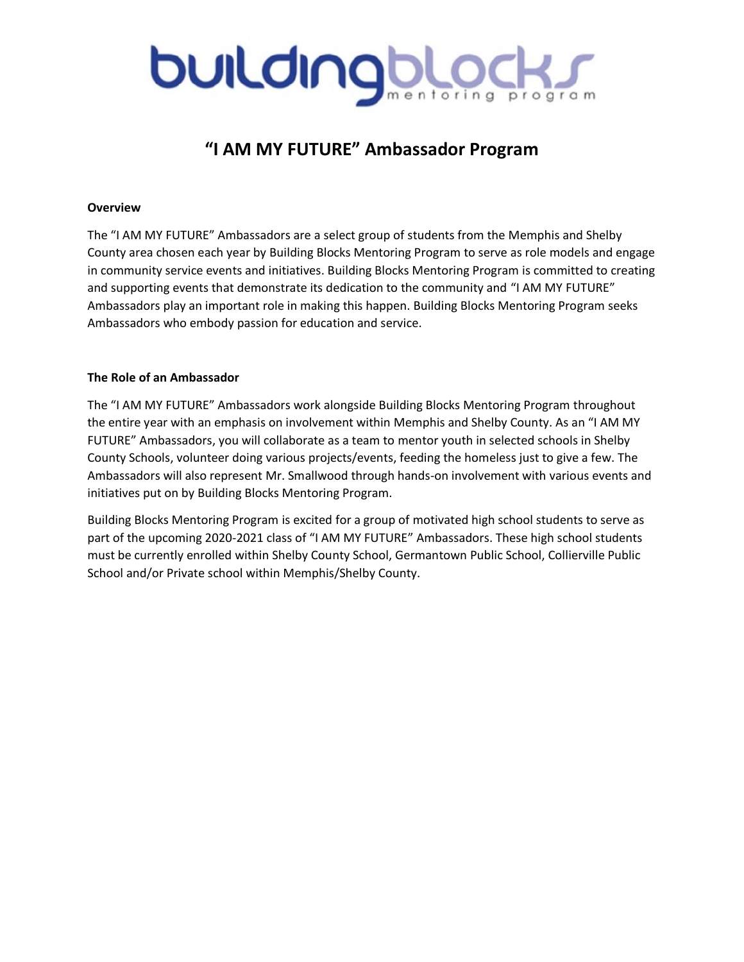# buldingbloc

# **"I AM MY FUTURE" Ambassador Program**

#### **Overview**

The "I AM MY FUTURE" Ambassadors are a select group of students from the Memphis and Shelby County area chosen each year by Building Blocks Mentoring Program to serve as role models and engage in community service events and initiatives. Building Blocks Mentoring Program is committed to creating and supporting events that demonstrate its dedication to the community and "I AM MY FUTURE" Ambassadors play an important role in making this happen. Building Blocks Mentoring Program seeks Ambassadors who embody passion for education and service.

#### **The Role of an Ambassador**

The "I AM MY FUTURE" Ambassadors work alongside Building Blocks Mentoring Program throughout the entire year with an emphasis on involvement within Memphis and Shelby County. As an "I AM MY FUTURE" Ambassadors, you will collaborate as a team to mentor youth in selected schools in Shelby County Schools, volunteer doing various projects/events, feeding the homeless just to give a few. The Ambassadors will also represent Mr. Smallwood through hands-on involvement with various events and initiatives put on by Building Blocks Mentoring Program.

Building Blocks Mentoring Program is excited for a group of motivated high school students to serve as part of the upcoming 2020-2021 class of "I AM MY FUTURE" Ambassadors. These high school students must be currently enrolled within Shelby County School, Germantown Public School, Collierville Public School and/or Private school within Memphis/Shelby County.